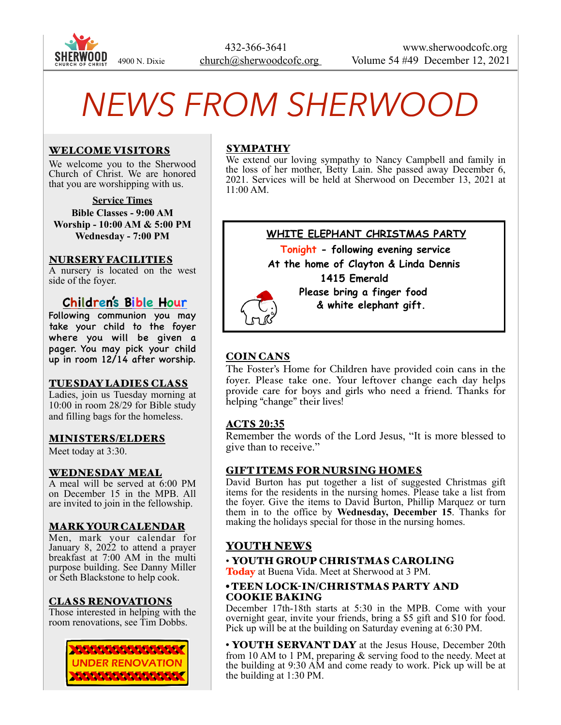

# *NEWS FROM SHERWOOD*

#### WELCOME VISITORS

We welcome you to the Sherwood Church of Christ. We are honored that you are worshipping with us.

**Service Times Bible Classes - 9:00 AM Worship - 10:00 AM & 5:00 PM Wednesday - 7:00 PM** 

#### NURSERY FACILITIES

A nursery is located on the west side of the foyer.

# **Children's Bible Hour**

Following communion you may take your child to the foyer where you will be given a pager. You may pick your child up in room 12/14 after worship.

#### TUESDAY LADIES CLASS

Ladies, join us Tuesday morning at 10:00 in room 28/29 for Bible study and filling bags for the homeless.

#### MINISTERS/ELDERS

Meet today at 3:30.

#### WEDNESDAY MEAL

A meal will be served at 6:00 PM on December 15 in the MPB. All are invited to join in the fellowship.

#### MARK YOUR CALENDAR

Men, mark your calendar for January 8, 2022 to attend a prayer breakfast at 7:00 AM in the multi purpose building. See Danny Miller or Seth Blackstone to help cook.

# CLASS RENOVATIONS

Those interested in helping with the room renovations, see Tim Dobbs.

# 2000000000000000 **UNDER RENOVATION**

## SYMPATHY

We extend our loving sympathy to Nancy Campbell and family in the loss of her mother, Betty Lain. She passed away December 6, 2021. Services will be held at Sherwood on December 13, 2021 at  $11:00 \text{ AM}$ 

### **WHITE ELEPHANT CHRISTMAS PARTY**

**Tonight - following evening service At the home of Clayton & Linda Dennis 1415 Emerald Please bring a finger food** 

 **& white elephant gift.** 

# COIN CANS

The Foster's Home for Children have provided coin cans in the foyer. Please take one. Your leftover change each day helps provide care for boys and girls who need a friend. Thanks for helping "change" their lives!

#### ACTS **20:35**

Remember the words of the Lord Jesus, "It is more blessed to give than to receive."

#### GIFT ITEMS FOR NURSING HOMES

David Burton has put together a list of suggested Christmas gift items for the residents in the nursing homes. Please take a list from the foyer. Give the items to David Burton, Phillip Marquez or turn them in to the office by **Wednesday, December 15**. Thanks for making the holidays special for those in the nursing homes.

# YOUTH NEWS

#### • YOUTH GROUP CHRISTMAS CAROLING

Today at Buena Vida. Meet at Sherwood at 3 PM.

#### • TEEN LOCK-IN/CHRISTMAS PARTY AND COOKIE BAKING

December 17th-18th starts at 5:30 in the MPB. Come with your overnight gear, invite your friends, bring a \$5 gift and \$10 for food. Pick up will be at the building on Saturday evening at 6:30 PM.

• YOUTH SERVANT DAY at the Jesus House, December 20th from 10 AM to 1 PM, preparing & serving food to the needy. Meet at the building at 9:30 AM and come ready to work. Pick up will be at the building at 1:30 PM.